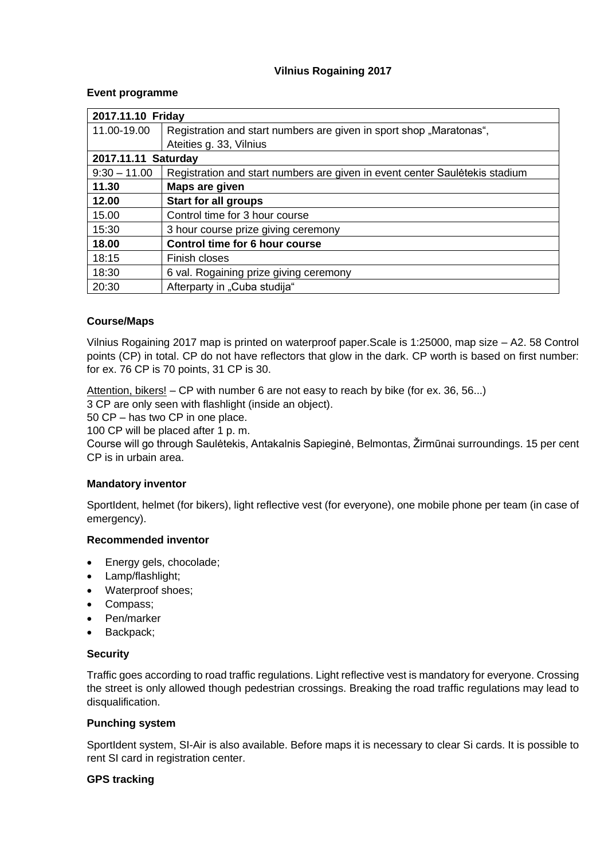# **Vilnius Rogaining 2017**

# **Event programme**

| 2017.11.10 Friday   |                                                                             |
|---------------------|-----------------------------------------------------------------------------|
| 11.00-19.00         | Registration and start numbers are given in sport shop "Maratonas",         |
|                     | Ateities g. 33, Vilnius                                                     |
| 2017.11.11 Saturday |                                                                             |
| $9:30 - 11.00$      | Registration and start numbers are given in event center Sauletekis stadium |
| 11.30               | Maps are given                                                              |
| 12.00               | <b>Start for all groups</b>                                                 |
| 15.00               | Control time for 3 hour course                                              |
| 15:30               | 3 hour course prize giving ceremony                                         |
| 18.00               | Control time for 6 hour course                                              |
| 18:15               | Finish closes                                                               |
| 18:30               | 6 val. Rogaining prize giving ceremony                                      |
| 20:30               | Afterparty in "Cuba studija"                                                |

# **Course/Maps**

Vilnius Rogaining 2017 map is printed on waterproof paper.Scale is 1:25000, map size – A2. 58 Control points (CP) in total. CP do not have reflectors that glow in the dark. CP worth is based on first number: for ex. 76 CP is 70 points, 31 CP is 30.

Attention, bikers!  $-$  CP with number 6 are not easy to reach by bike (for ex. 36, 56...)

3 CP are only seen with flashlight (inside an object).

50 CP – has two CP in one place.

100 CP will be placed after 1 p. m.

Course will go through Saulėtekis, Antakalnis Sapieginė, Belmontas, Žirmūnai surroundings. 15 per cent CP is in urbain area.

# **Mandatory inventor**

SportIdent, helmet (for bikers), light reflective vest (for everyone), one mobile phone per team (in case of emergency).

## **Recommended inventor**

- Energy gels, chocolade;
- Lamp/flashlight;
- Waterproof shoes;
- Compass;
- Pen/marker
- Backpack:

## **Security**

Traffic goes according to road traffic regulations. Light reflective vest is mandatory for everyone. Crossing the street is only allowed though pedestrian crossings. Breaking the road traffic regulations may lead to disqualification.

## **Punching system**

SportIdent system, SI-Air is also available. Before maps it is necessary to clear Si cards. It is possible to rent SI card in registration center.

## **GPS tracking**